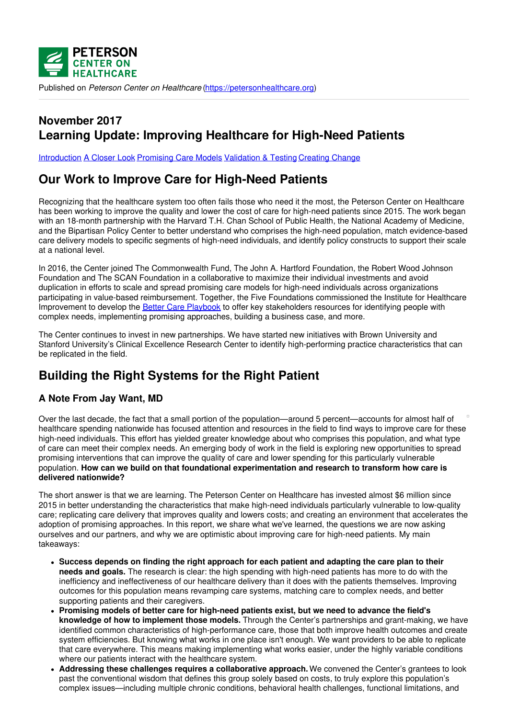

Published on *Peterson Center on Healthcare* [\(https://petersonhealthcare.org](https://petersonhealthcare.org))

## **November 2017 Learning Update: Improving Healthcare for High-Need Patients**

[Introduction](#page-0-0) A [Closer](#page-1-0) Look [Promising](#page-5-0) Care Models [Validation](#page-6-0) & Testing [Creating](#page-6-1) Change

# **Our Work to Improve Care for High-Need Patients**

Recognizing that the healthcare system too often fails those who need it the most, the Peterson Center on Healthcare has been working to improve the quality and lower the cost of care for high-need patients since 2015. The work began with an 18-month partnership with the Harvard T.H. Chan School of Public Health, the National Academy of Medicine, and the Bipartisan Policy Center to better understand who comprises the high-need population, match evidence-based care delivery models to specific segments of high-need individuals, and identify policy constructs to support their scale at a national level.

In 2016, the Center joined The Commonwealth Fund, The John A. Hartford Foundation, the Robert Wood Johnson Foundation and The SCAN Foundation in a collaborative to maximize their individual investments and avoid duplication in efforts to scale and spread promising care models for high-need individuals across organizations participating in value-based reimbursement. Together, the Five Foundations commissioned the Institute for Healthcare Improvement to develop the Better Care [Playbook](http://www.bettercareplaybook.org/) to offer key stakeholders resources for identifying people with complex needs, implementing promising approaches, building a business case, and more.

The Center continues to invest in new partnerships. We have started new initiatives with Brown University and Stanford University's Clinical Excellence Research Center to identify high-performing practice characteristics that can be replicated in the field.

# <span id="page-0-0"></span>**Building the Right Systems for the Right Patient**

### **A Note From Jay Want, MD**

Over the last decade, the fact that a small portion of the population—around 5 percent—accounts for almost half of healthcare spending nationwide has focused attention and resources in the field to find ways to improve care for these high-need individuals. This effort has yielded greater knowledge about who comprises this population, and what type of care can meet their complex needs. An emerging body of work in the field is exploring new opportunities to spread promising interventions that can improve the quality of care and lower spending for this particularly vulnerable population. **How can we build on that foundational experimentation and research to transform how care is delivered nationwide?**

The short answer is that we are learning. The Peterson Center on Healthcare has invested almost \$6 million since 2015 in better understanding the characteristics that make high-need individuals particularly vulnerable to low-quality care; replicating care delivery that improves quality and lowers costs; and creating an environment that accelerates the adoption of promising approaches. In this report, we share what we've learned, the questions we are now asking ourselves and our partners, and why we are optimistic about improving care for high-need patients. My main takeaways:

- **Success depends on finding the right approach for each patient and adapting the care plan to their needs and goals.** The research is clear: the high spending with high-need patients has more to do with the inefficiency and ineffectiveness of our healthcare delivery than it does with the patients themselves. Improving outcomes for this population means revamping care systems, matching care to complex needs, and better supporting patients and their caregivers.
- **Promising models of better care for high-need patients exist, but we need to advance the field's knowledge of how to implement those models.** Through the Center's partnerships and grant-making, we have identified common characteristics of high-performance care, those that both improve health outcomes and create system efficiencies. But knowing what works in one place isn't enough. We want providers to be able to replicate that care everywhere. This means making implementing what works easier, under the highly variable conditions where our patients interact with the healthcare system.
- **Addressing these challenges requires a collaborative approach.** We convened the Center's grantees to look past the conventional wisdom that defines this group solely based on costs, to truly explore this population's complex issues—including multiple chronic conditions, behavioral health challenges, functional limitations, and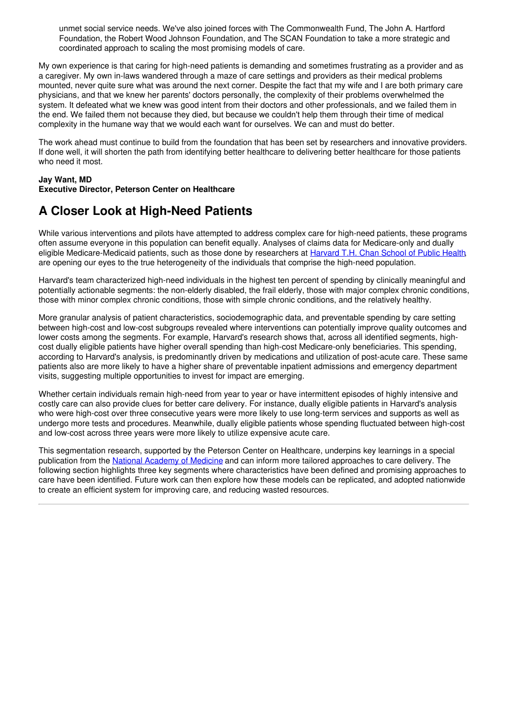unmet social service needs. We've also joined forces with The Commonwealth Fund, The John A. Hartford Foundation, the Robert Wood Johnson Foundation, and The SCAN Foundation to take a more strategic and coordinated approach to scaling the most promising models of care.

My own experience is that caring for high-need patients is demanding and sometimes frustrating as a provider and as a caregiver. My own in-laws wandered through a maze of care settings and providers as their medical problems mounted, never quite sure what was around the next corner. Despite the fact that my wife and I are both primary care physicians, and that we knew her parents' doctors personally, the complexity of their problems overwhelmed the system. It defeated what we knew was good intent from their doctors and other professionals, and we failed them in the end. We failed them not because they died, but because we couldn't help them through their time of medical complexity in the humane way that we would each want for ourselves. We can and must do better.

The work ahead must continue to build from the foundation that has been set by researchers and innovative providers. If done well, it will shorten the path from identifying better healthcare to delivering better healthcare for those patients who need it most.

### **Jay Want, MD**

#### **Executive Director, Peterson Center on Healthcare**

## <span id="page-1-0"></span>**A Closer Look at High-Need Patients**

While various interventions and pilots have attempted to address complex care for high-need patients, these programs often assume everyone in this population can benefit equally. Analyses of claims data for Medicare-only and dually eligible Medicare-Medicaid patients, such as those done by researchers at [Harvard](http://www.bettercareplaybook.org/_blog/2017/1/segmenting-high-need-high-cost-patients-video-presentation-dr-jose-figueroa) T.H. Chan School of Public Health, are opening our eyes to the true heterogeneity of the individuals that comprise the high-need population.

Harvard's team characterized high-need individuals in the highest ten percent of spending by clinically meaningful and potentially actionable segments: the non-elderly disabled, the frail elderly, those with major complex chronic conditions, those with minor complex chronic conditions, those with simple chronic conditions, and the relatively healthy.

More granular analysis of patient characteristics, sociodemographic data, and preventable spending by care setting between high-cost and low-cost subgroups revealed where interventions can potentially improve quality outcomes and lower costs among the segments. For example, Harvard's research shows that, across all identified segments, highcost dually eligible patients have higher overall spending than high-cost Medicare-only beneficiaries. This spending, according to Harvard's analysis, is predominantly driven by medications and utilization of post-acute care. These same patients also are more likely to have a higher share of preventable inpatient admissions and emergency department visits, suggesting multiple opportunities to invest for impact are emerging.

Whether certain individuals remain high-need from year to year or have intermittent episodes of highly intensive and costly care can also provide clues for better care delivery. For instance, dually eligible patients in Harvard's analysis who were high-cost over three consecutive years were more likely to use long-term services and supports as well as undergo more tests and procedures. Meanwhile, dually eligible patients whose spending fluctuated between high-cost and low-cost across three years were more likely to utilize expensive acute care.

This segmentation research, supported by the Peterson Center on Healthcare, underpins key learnings in a special publication from the National [Academy](https://nam.edu/HighNeeds/) of Medicine and can inform more tailored approaches to care delivery. The following section highlights three key segments where characteristics have been defined and promising approaches to care have been identified. Future work can then explore how these models can be replicated, and adopted nationwide to create an efficient system for improving care, and reducing wasted resources.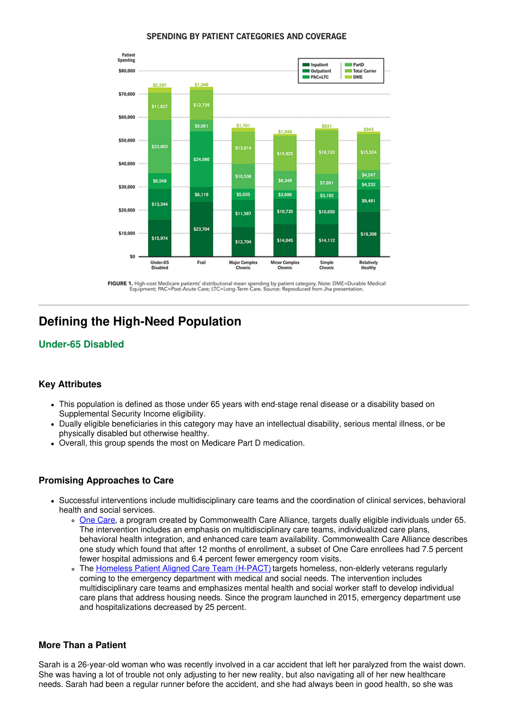#### SPENDING BY PATIENT CATEGORIES AND COVERAGE



FIGURE 1. High-cost Medicare patients' distributional mean spending by patient category. Note: DME=Durable Medical<br>Equipment; PAC=Post-Acute Care; LTC=Long-Term Care. Source: Reproduced from Jha presentation.

## **Defining the High-Need Population**

### **Under-65 Disabled**

### **Key Attributes**

- This population is defined as those under 65 years with end-stage renal disease or a disability based on Supplemental Security Income eligibility.
- Dually eligible beneficiaries in this category may have an intellectual disability, serious mental illness, or be physically disabled but otherwise healthy.
- Overall, this group spends the most on Medicare Part D medication.

#### **Promising Approaches to Care**

- Successful interventions include multidisciplinary care teams and the coordination of clinical services, behavioral health and social services.
	- One [Care](http://www.commonwealthfund.org/publications/case-studies/2016/dec/commonwealth-care-alliance), a program created by Commonwealth Care Alliance, targets dually eligible individuals under 65. The intervention includes an emphasis on multidisciplinary care teams, individualized care plans, behavioral health integration, and enhanced care team availability. Commonwealth Care Alliance describes one study which found that after 12 months of enrollment, a subset of One Care enrollees had 7.5 percent fewer hospital admissions and 6.4 percent fewer emergency room visits.
	- o The [Homeless](https://www.va.gov/homeless/nchav/models/H-PACT.asp) Patient Aligned Care Team (H-PACT) targets homeless, non-elderly veterans regularly coming to the emergency department with medical and social needs. The intervention includes multidisciplinary care teams and emphasizes mental health and social worker staff to develop individual care plans that address housing needs. Since the program launched in 2015, emergency department use and hospitalizations decreased by 25 percent.

#### **More Than a Patient**

Sarah is a 26-year-old woman who was recently involved in a car accident that left her paralyzed from the waist down. She was having a lot of trouble not only adjusting to her new reality, but also navigating all of her new healthcare needs. Sarah had been a regular runner before the accident, and she had always been in good health, so she was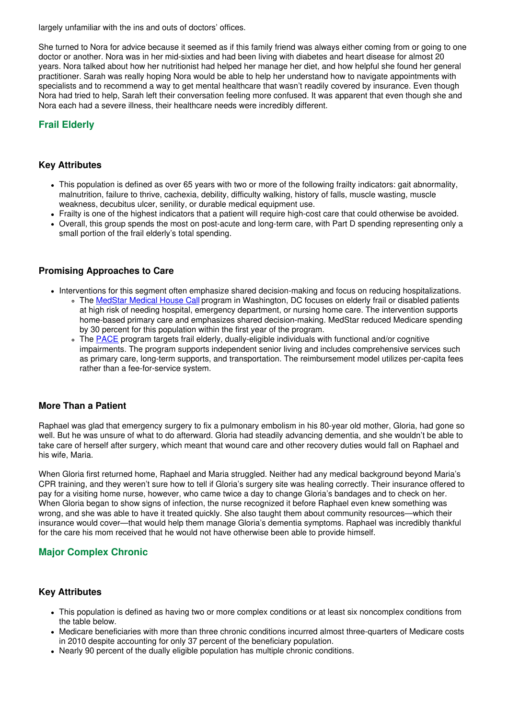largely unfamiliar with the ins and outs of doctors' offices.

She turned to Nora for advice because it seemed as if this family friend was always either coming from or going to one doctor or another. Nora was in her mid-sixties and had been living with diabetes and heart disease for almost 20 years. Nora talked about how her nutritionist had helped her manage her diet, and how helpful she found her general practitioner. Sarah was really hoping Nora would be able to help her understand how to navigate appointments with specialists and to recommend a way to get mental healthcare that wasn't readily covered by insurance. Even though Nora had tried to help, Sarah left their conversation feeling more confused. It was apparent that even though she and Nora each had a severe illness, their healthcare needs were incredibly different.

### **Frail Elderly**

#### **Key Attributes**

- This population is defined as over 65 years with two or more of the following frailty indicators: gait abnormality, malnutrition, failure to thrive, cachexia, debility, difficulty walking, history of falls, muscle wasting, muscle weakness, decubitus ulcer, senility, or durable medical equipment use.
- Frailty is one of the highest indicators that a patient will require high-cost care that could otherwise be avoided.
- Overall, this group spends the most on post-acute and long-term care, with Part D spending representing only a small portion of the frail elderly's total spending.

#### **Promising Approaches to Care**

- Interventions for this segment often emphasize shared decision-making and focus on reducing hospitalizations.
	- o The [MedStar](http://www.bettercareplaybook.org/node/60) Medical House Call program in Washington, DC focuses on elderly frail or disabled patients at high risk of needing hospital, emergency department, or nursing home care. The intervention supports home-based primary care and emphasizes shared decision-making. MedStar reduced Medicare spending by 30 percent for this population within the first year of the program.
	- The **[PACE](https://www.medicaid.gov/medicaid/ltss/pace/index.html)** program targets frail elderly, dually-eligible individuals with functional and/or cognitive impairments. The program supports independent senior living and includes comprehensive services such as primary care, long-term supports, and transportation. The reimbursement model utilizes per-capita fees rather than a fee-for-service system.

### **More Than a Patient**

Raphael was glad that emergency surgery to fix a pulmonary embolism in his 80-year old mother, Gloria, had gone so well. But he was unsure of what to do afterward. Gloria had steadily advancing dementia, and she wouldn't be able to take care of herself after surgery, which meant that wound care and other recovery duties would fall on Raphael and his wife, Maria.

When Gloria first returned home, Raphael and Maria struggled. Neither had any medical background beyond Maria's CPR training, and they weren't sure how to tell if Gloria's surgery site was healing correctly. Their insurance offered to pay for a visiting home nurse, however, who came twice a day to change Gloria's bandages and to check on her. When Gloria began to show signs of infection, the nurse recognized it before Raphael even knew something was wrong, and she was able to have it treated quickly. She also taught them about community resources—which their insurance would cover—that would help them manage Gloria's dementia symptoms. Raphael was incredibly thankful for the care his mom received that he would not have otherwise been able to provide himself.

### **Major Complex Chronic**

#### **Key Attributes**

- This population is defined as having two or more complex conditions or at least six noncomplex conditions from the table below.
- Medicare beneficiaries with more than three chronic conditions incurred almost three-quarters of Medicare costs in 2010 despite accounting for only 37 percent of the beneficiary population.
- Nearly 90 percent of the dually eligible population has multiple chronic conditions.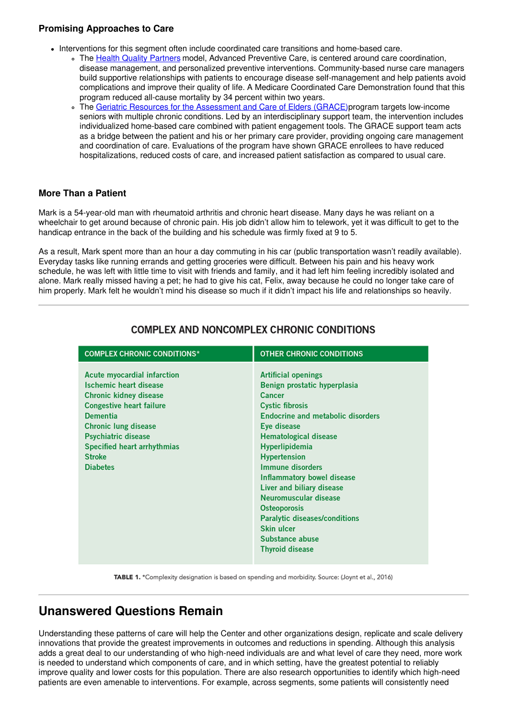### **Promising Approaches to Care**

- Interventions for this segment often include coordinated care transitions and home-based care.
	- o The Health Quality [Partners](http://www.hqp.org/our-model.html) model, Advanced Preventive Care, is centered around care coordination, disease management, and personalized preventive interventions. Community-based nurse care managers build supportive relationships with patients to encourage disease self-management and help patients avoid complications and improve their quality of life. A Medicare Coordinated Care Demonstration found that this program reduced all-cause mortality by 34 percent within two years.
	- o The Geriatric Resources for the [Assessment](http://www.ajpb.com/news/grace-program-can-improve-healthcare-for-elderly-patients-lower-costs) and Care of Elders (GRACE) program targets low-income seniors with multiple chronic conditions. Led by an interdisciplinary support team, the intervention includes individualized home-based care combined with patient engagement tools. The GRACE support team acts as a bridge between the patient and his or her primary care provider, providing ongoing care management and coordination of care. Evaluations of the program have shown GRACE enrollees to have reduced hospitalizations, reduced costs of care, and increased patient satisfaction as compared to usual care.

### **More Than a Patient**

Mark is a 54-year-old man with rheumatoid arthritis and chronic heart disease. Many days he was reliant on a wheelchair to get around because of chronic pain. His job didn't allow him to telework, yet it was difficult to get to the handicap entrance in the back of the building and his schedule was firmly fixed at 9 to 5.

As a result, Mark spent more than an hour a day commuting in his car (public transportation wasn't readily available). Everyday tasks like running errands and getting groceries were difficult. Between his pain and his heavy work schedule, he was left with little time to visit with friends and family, and it had left him feeling incredibly isolated and alone. Mark really missed having a pet; he had to give his cat, Felix, away because he could no longer take care of him properly. Mark felt he wouldn't mind his disease so much if it didn't impact his life and relationships so heavily.

| <b>COMPLEX CHRONIC CONDITIONS*</b>                                                                                                                                                                                                                                                         | <b>OTHER CHRONIC CONDITIONS</b>                                                                                                                                                                                                                                                                                                                                                                                                                                                                         |
|--------------------------------------------------------------------------------------------------------------------------------------------------------------------------------------------------------------------------------------------------------------------------------------------|---------------------------------------------------------------------------------------------------------------------------------------------------------------------------------------------------------------------------------------------------------------------------------------------------------------------------------------------------------------------------------------------------------------------------------------------------------------------------------------------------------|
| <b>Acute myocardial infarction</b><br>Ischemic heart disease<br><b>Chronic kidney disease</b><br><b>Congestive heart failure</b><br><b>Dementia</b><br><b>Chronic lung disease</b><br><b>Psychiatric disease</b><br><b>Specified heart arrhythmias</b><br><b>Stroke</b><br><b>Diabetes</b> | <b>Artificial openings</b><br>Benign prostatic hyperplasia<br><b>Cancer</b><br><b>Cystic fibrosis</b><br><b>Endocrine and metabolic disorders</b><br>Eye disease<br><b>Hematological disease</b><br>Hyperlipidemia<br><b>Hypertension</b><br><b>Immune disorders</b><br><b>Inflammatory bowel disease</b><br><b>Liver and biliary disease</b><br>Neuromuscular disease<br><b>Osteoporosis</b><br><b>Paralytic diseases/conditions</b><br><b>Skin ulcer</b><br>Substance abuse<br><b>Thyroid disease</b> |

### **COMPLEX AND NONCOMPLEX CHRONIC CONDITIONS**

TABLE 1. \*Complexity designation is based on spending and morbidity. Source: (Joynt et al., 2016)

## **Unanswered Questions Remain**

Understanding these patterns of care will help the Center and other organizations design, replicate and scale delivery innovations that provide the greatest improvements in outcomes and reductions in spending. Although this analysis adds a great deal to our understanding of who high-need individuals are and what level of care they need, more work is needed to understand which components of care, and in which setting, have the greatest potential to reliably improve quality and lower costs for this population. There are also research opportunities to identify which high-need patients are even amenable to interventions. For example, across segments, some patients will consistently need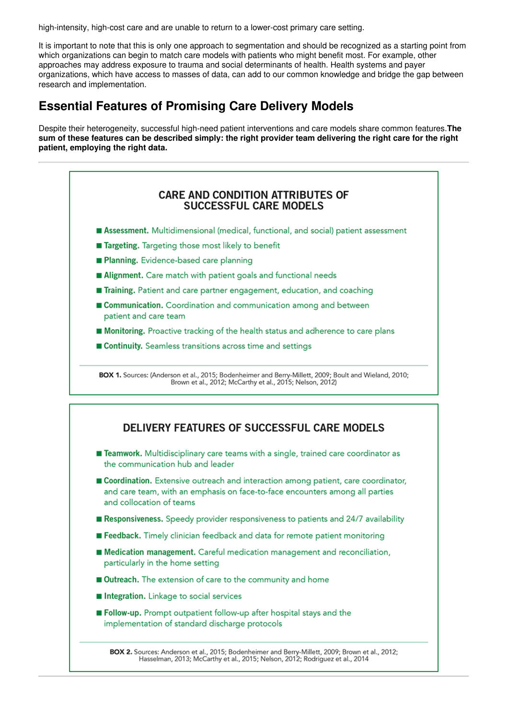high-intensity, high-cost care and are unable to return to a lower-cost primary care setting.

It is important to note that this is only one approach to segmentation and should be recognized as a starting point from which organizations can begin to match care models with patients who might benefit most. For example, other approaches may address exposure to trauma and social determinants of health. Health systems and payer organizations, which have access to masses of data, can add to our common knowledge and bridge the gap between research and implementation.

## <span id="page-5-0"></span>**Essential Features of Promising Care Delivery Models**

Despite their heterogeneity, successful high-need patient interventions and care models share common features.**The** sum of these features can be described simply: the right provider team delivering the right care for the right **patient, employing the right data.**

### **CARE AND CONDITION ATTRIBUTES OF SUCCESSFUL CARE MODELS**

- Assessment. Multidimensional (medical, functional, and social) patient assessment
- Targeting. Targeting those most likely to benefit
- Planning. Evidence-based care planning
- Alignment. Care match with patient goals and functional needs
- Training. Patient and care partner engagement, education, and coaching
- Communication. Coordination and communication among and between patient and care team
- Monitoring. Proactive tracking of the health status and adherence to care plans
- Continuity. Seamless transitions across time and settings

BOX 1. Sources: (Anderson et al., 2015; Bodenheimer and Berry-Millett, 2009; Boult and Wieland, 2010; Brown et al., 2012; McCarthy et al., 2015; Nelson, 2012)

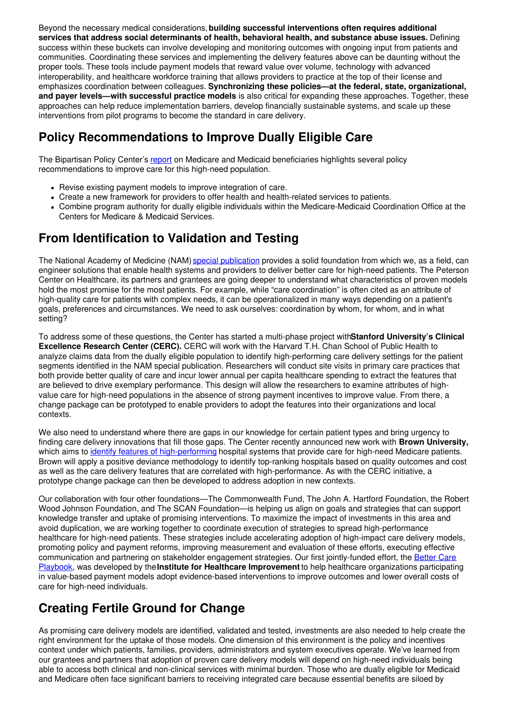Beyond the necessary medical considerations,**building successful interventions often requires additional services that address social determinants of health, behavioral health, and substance abuse issues.** Defining success within these buckets can involve developing and monitoring outcomes with ongoing input from patients and communities. Coordinating these services and implementing the delivery features above can be daunting without the proper tools. These tools include payment models that reward value over volume, technology with advanced interoperability, and healthcare workforce training that allows providers to practice at the top of their license and emphasizes coordination between colleagues. **Synchronizing these policies—at the federal, state, organizational, and payer levels—with successful practice models** is also critical for expanding these approaches. Together, these approaches can help reduce implementation barriers, develop financially sustainable systems, and scale up these interventions from pilot programs to become the standard in care delivery.

# **Policy Recommendations to Improve Dually Eligible Care**

The Bipartisan Policy Center's [report](https://cdn.bipartisanpolicy.org/wp-content/uploads/2016/09/BPC-Health-Dual-Eligible-Recommendations.pdf) on Medicare and Medicaid beneficiaries highlights several policy recommendations to improve care for this high-need population.

- Revise existing payment models to improve integration of care.
- Create a new framework for providers to offer health and health-related services to patients.
- Combine program authority for dually eligible individuals within the Medicare-Medicaid Coordination Office at the Centers for Medicare & Medicaid Services.

# <span id="page-6-0"></span>**From Identification to Validation and Testing**

The National Academy of Medicine (NAM) special [publication](https://nam.edu/HighNeeds/) provides a solid foundation from which we, as a field, can engineer solutions that enable health systems and providers to deliver better care for high-need patients. The Peterson Center on Healthcare, its partners and grantees are going deeper to understand what characteristics of proven models hold the most promise for the most patients. For example, while "care coordination" is often cited as an attribute of high-quality care for patients with complex needs, it can be operationalized in many ways depending on a patient's goals, preferences and circumstances. We need to ask ourselves: coordination by whom, for whom, and in what setting?

To address some of these questions, the Center has started a multi-phase project with**Stanford University's Clinical Excellence Research Center (CERC).** CERC will work with the Harvard T.H. Chan School of Public Health to analyze claims data from the dually eligible population to identify high-performing care delivery settings for the patient segments identified in the NAM special publication. Researchers will conduct site visits in primary care practices that both provide better quality of care and incur lower annual per capita healthcare spending to extract the features that are believed to drive exemplary performance. This design will allow the researchers to examine attributes of highvalue care for high-need populations in the absence of strong payment incentives to improve value. From there, a change package can be prototyped to enable providers to adopt the features into their organizations and local contexts.

We also need to understand where there are gaps in our knowledge for certain patient types and bring urgency to finding care delivery innovations that fill those gaps. The Center recently announced new work with **Brown University,** which aims to identify features of [high-performing](http://petersonhealthcare.org/peterson-center-healthcare-teams-brown-university-study-exemplary-care-high-need-medicare-patients) hospital systems that provide care for high-need Medicare patients. Brown will apply a positive deviance methodology to identify top-ranking hospitals based on quality outcomes and cost as well as the care delivery features that are correlated with high-performance. As with the CERC initiative, a prototype change package can then be developed to address adoption in new contexts.

Our collaboration with four other foundations—The Commonwealth Fund, The John A. Hartford Foundation, the Robert Wood Johnson Foundation, and The SCAN Foundation—is helping us align on goals and strategies that can support knowledge transfer and uptake of promising interventions. To maximize the impact of investments in this area and avoid duplication, we are working together to coordinate execution of strategies to spread high-performance healthcare for high-need patients. These strategies include accelerating adoption of high-impact care delivery models, promoting policy and payment reforms, improving measurement and evaluation of these efforts, executing effective [communication](http://www.bettercareplaybook.org/) and partnering on stakeholder engagement strategies. Our first jointly-funded effort, the Better Care Playbook, was developed by the**Institute for Healthcare Improvement**to help healthcare organizations participating in value-based payment models adopt evidence-based interventions to improve outcomes and lower overall costs of care for high-need individuals.

# <span id="page-6-1"></span>**Creating Fertile Ground for Change**

As promising care delivery models are identified, validated and tested, investments are also needed to help create the right environment for the uptake of those models. One dimension of this environment is the policy and incentives context under which patients, families, providers, administrators and system executives operate. We've learned from our grantees and partners that adoption of proven care delivery models will depend on high-need individuals being able to access both clinical and non-clinical services with minimal burden. Those who are dually eligible for Medicaid and Medicare often face significant barriers to receiving integrated care because essential benefits are siloed by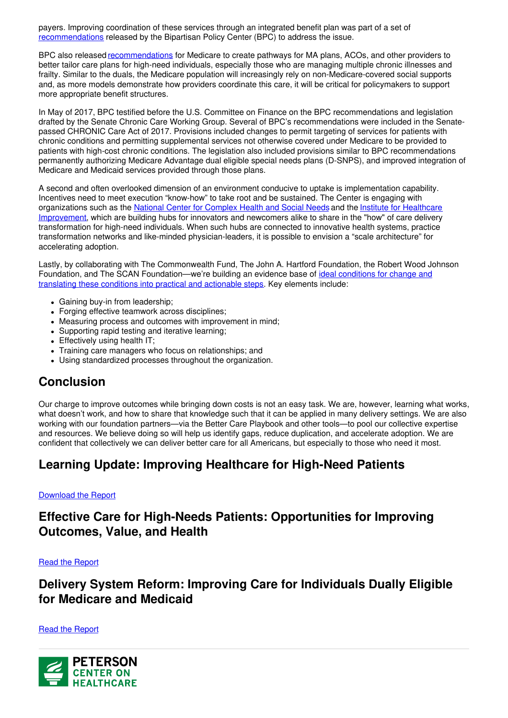payers. Improving coordination of these services through an integrated benefit plan was part of a set of [recommendations](https://bipartisanpolicy.org/library/dually-eligible-medicare-medicaid/) released by the Bipartisan Policy Center (BPC) to address the issue.

BPC also released [recommendations](https://bipartisanpolicy.org/library/improving-care-for-high-need-high-cost-medicare-patients/) for Medicare to create pathways for MA plans, ACOs, and other providers to better tailor care plans for high-need individuals, especially those who are managing multiple chronic illnesses and frailty. Similar to the duals, the Medicare population will increasingly rely on non-Medicare-covered social supports and, as more models demonstrate how providers coordinate this care, it will be critical for policymakers to support more appropriate benefit structures.

In May of 2017, BPC testified before the U.S. Committee on Finance on the BPC recommendations and legislation drafted by the Senate Chronic Care Working Group. Several of BPC's recommendations were included in the Senatepassed CHRONIC Care Act of 2017. Provisions included changes to permit targeting of services for patients with chronic conditions and permitting supplemental services not otherwise covered under Medicare to be provided to patients with high-cost chronic conditions. The legislation also included provisions similar to BPC recommendations permanently authorizing Medicare Advantage dual eligible special needs plans (D-SNPS), and improved integration of Medicare and Medicaid services provided through those plans.

A second and often overlooked dimension of an environment conducive to uptake is implementation capability. Incentives need to meet execution "know-how" to take root and be sustained. The Center is engaging with [organizations](http://www.careredesignguide.org/) such as the National Center for [Complex](https://www.nationalcomplex.care/about-us/) Health and Social Needs and the Institute for Healthcare Improvement, which are building hubs for innovators and newcomers alike to share in the "how" of care delivery transformation for high-need individuals. When such hubs are connected to innovative health systems, practice transformation networks and like-minded physician-leaders, it is possible to envision a "scale architecture" for accelerating adoption.

Lastly, by collaborating with The Commonwealth Fund, The John A. Hartford Foundation, the Robert Wood Johnson Foundation, and The SCAN [Foundation—we're](http://www.bettercareplaybook.org/questions/what-are-key-elements-redesigning-care) building an evidence base of ideal conditions for change and translating these conditions into practical and actionable steps. Key elements include:

- Gaining buy-in from leadership;
- Forging effective teamwork across disciplines;
- Measuring process and outcomes with improvement in mind;
- Supporting rapid testing and iterative learning;
- Effectively using health IT;
- Training care managers who focus on relationships; and
- Using standardized processes throughout the organization.

## **Conclusion**

Our charge to improve outcomes while bringing down costs is not an easy task. We are, however, learning what works, what doesn't work, and how to share that knowledge such that it can be applied in many delivery settings. We are also working with our foundation partners—via the Better Care Playbook and other tools—to pool our collective expertise and resources. We believe doing so will help us identify gaps, reduce duplication, and accelerate adoption. We are confident that collectively we can deliver better care for all Americans, but especially to those who need it most.

## **Learning Update: Improving Healthcare for High-Need Patients**

#### Download the Report

## **Effective Care for High-Needs Patients: Opportunities for Improving Outcomes, Value, and Health**

Read the Report

## **Delivery System Reform: Improving Care for Individuals Dually Eligible for Medicare and Medicaid**

#### Read the Report